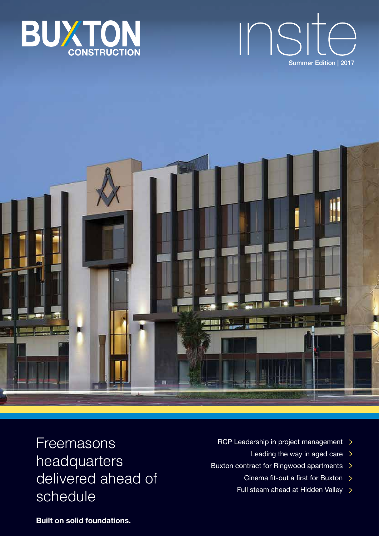





Freemasons headquarters delivered ahead of schedule

- RCP Leadership in project management  $\rightarrow$ 
	- Leading the way in aged care  $\rightarrow$
- Buxton contract for Ringwood apartments >
	- Cinema fit-out a first for Buxton
	- Full steam ahead at Hidden Valley

**Built on solid foundations.**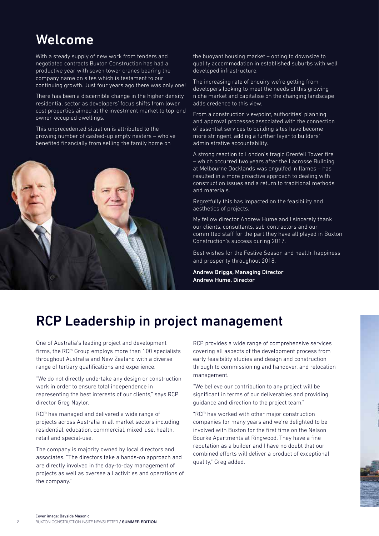# Welcome

With a steady supply of new work from tenders and negotiated contracts Buxton Construction has had a productive year with seven tower cranes bearing the company name on sites which is testament to our continuing growth. Just four years ago there was only one!

There has been a discernible change in the higher density residential sector as developers' focus shifts from lower cost properties aimed at the investment market to top-end owner-occupied dwellings.

This unprecedented situation is attributed to the growing number of cashed-up empty nesters – who've benefited financially from selling the family home on



the buoyant housing market – opting to downsize to quality accommodation in established suburbs with well developed infrastructure.

The increasing rate of enquiry we're getting from developers looking to meet the needs of this growing niche market and capitalise on the changing landscape adds credence to this view.

From a construction viewpoint, authorities' planning and approval processes associated with the connection of essential services to building sites have become more stringent, adding a further layer to builders' administrative accountability.

A strong reaction to London's tragic Grenfell Tower fire – which occurred two years after the Lacrosse Building at Melbourne Docklands was engulfed in flames – has resulted in a more proactive approach to dealing with construction issues and a return to traditional methods and materials.

Regretfully this has impacted on the feasibility and aesthetics of projects.

My fellow director Andrew Hume and I sincerely thank our clients, consultants, sub-contractors and our committed staff for the part they have all played in Buxton Construction's success during 2017.

Best wishes for the Festive Season and health, happiness and prosperity throughout 2018.

Andrew Briggs, Managing Director Andrew Hume, Director

# RCP Leadership in project management

One of Australia's leading project and development firms, the RCP Group employs more than 100 specialists throughout Australia and New Zealand with a diverse range of tertiary qualifications and experience.

"We do not directly undertake any design or construction work in order to ensure total independence in representing the best interests of our clients," says RCP director Greg Naylor.

RCP has managed and delivered a wide range of projects across Australia in all market sectors including residential, education, commercial, mixed-use, health, retail and special-use.

The company is majority owned by local directors and associates. "The directors take a hands-on approach and are directly involved in the day-to-day management of projects as well as oversee all activities and operations of the company."

RCP provides a wide range of comprehensive services covering all aspects of the development process from early feasibility studies and design and construction through to commissioning and handover, and relocation management.

"We believe our contribution to any project will be significant in terms of our deliverables and providing guidance and direction to the project team."

"RCP has worked with other major construction companies for many years and we're delighted to be involved with Buxton for the first time on the Nelson Bourke Apartments at Ringwood. They have a fine reputation as a builder and I have no doubt that our combined efforts will deliver a product of exceptional quality," Greg added.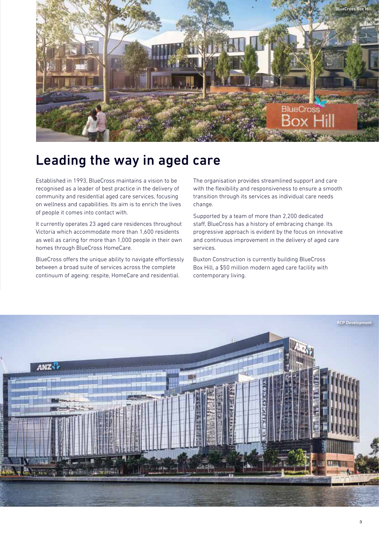

# Leading the way in aged care

Established in 1993, BlueCross maintains a vision to be recognised as a leader of best practice in the delivery of community and residential aged care services, focusing on wellness and capabilities. Its aim is to enrich the lives of people it comes into contact with.

It currently operates 23 aged care residences throughout Victoria which accommodate more than 1,600 residents as well as caring for more than 1,000 people in their own homes through BlueCross HomeCare.

BlueCross offers the unique ability to navigate effortlessly between a broad suite of services across the complete continuum of ageing: respite, HomeCare and residential.

The organisation provides streamlined support and care with the flexibility and responsiveness to ensure a smooth transition through its services as individual care needs change.

Supported by a team of more than 2,200 dedicated staff, BlueCross has a history of embracing change. Its progressive approach is evident by the focus on innovative and continuous improvement in the delivery of aged care services.

Buxton Construction is currently building BlueCross Box Hill, a \$50 million modern aged care facility with contemporary living.

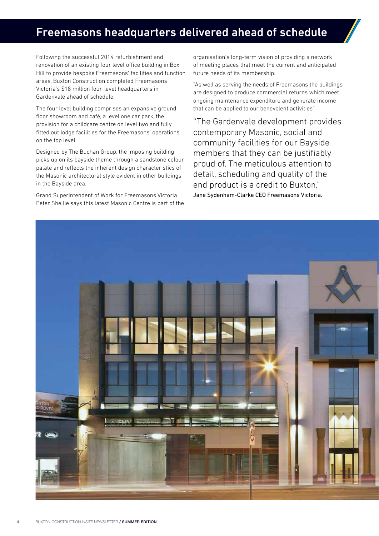### Freemasons headquarters delivered ahead of schedule

Following the successful 2014 refurbishment and renovation of an existing four level office building in Box Hill to provide bespoke Freemasons' facilities and function areas, Buxton Construction completed Freemasons Victoria's \$18 million four-level headquarters in Gardenvale ahead of schedule.

The four level building comprises an expansive ground floor showroom and café, a level one car park, the provision for a childcare centre on level two and fully fitted out lodge facilities for the Freemasons' operations on the top level.

Designed by The Buchan Group, the imposing building picks up on its bayside theme through a sandstone colour palate and reflects the inherent design characteristics of the Masonic architectural style evident in other buildings in the Bayside area.

Grand Superintendent of Work for Freemasons Victoria Peter Shellie says this latest Masonic Centre is part of the

organisation's long-term vision of providing a network of meeting places that meet the current and anticipated future needs of its membership.

"As well as serving the needs of Freemasons the buildings are designed to produce commercial returns which meet ongoing maintenance expenditure and generate income that can be applied to our benevolent activities".

"The Gardenvale development provides contemporary Masonic, social and community facilities for our Bayside members that they can be justifiably proud of. The meticulous attention to detail, scheduling and quality of the end product is a credit to Buxton," Jane Sydenham-Clarke CEO Freemasons Victoria.

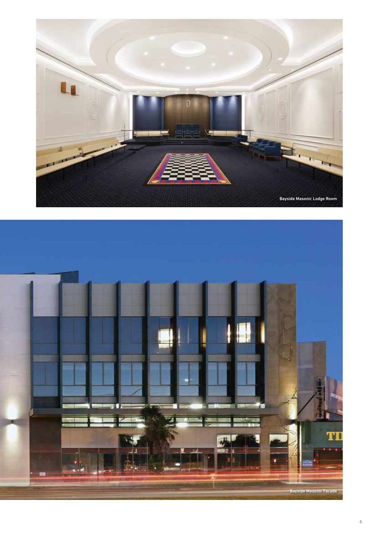

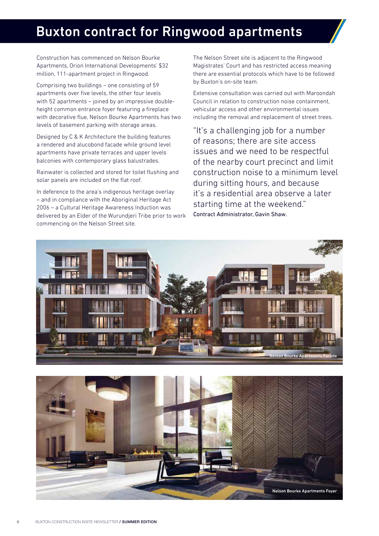# Buxton contract for Ringwood apartments

Construction has commenced on Nelson Bourke Apartments, Orion International Developments' \$32 million, 111-apartment project in Ringwood.

Comprising two buildings – one consisting of 59 apartments over five levels, the other four levels with 52 apartments – joined by an impressive doubleheight common entrance foyer featuring a fireplace with decorative flue, Nelson Bourke Apartments has two levels of basement parking with storage areas.

Designed by C & K Architecture the building features a rendered and alucobond facade while ground level apartments have private terraces and upper levels balconies with contemporary glass balustrades.

Rainwater is collected and stored for toilet flushing and solar panels are included on the flat roof.

In deference to the area's indigenous heritage overlay – and in compliance with the Aboriginal Heritage Act 2006 – a Cultural Heritage Awareness Induction was delivered by an Elder of the Wurundjeri Tribe prior to work commencing on the Nelson Street site.

The Nelson Street site is adjacent to the Ringwood Magistrates' Court and has restricted access meaning there are essential protocols which have to be followed by Buxton's on-site team.

Extensive consultation was carried out with Maroondah Council in relation to construction noise containment, vehicular access and other environmental issues including the removal and replacement of street trees.

"It's a challenging job for a number of reasons; there are site access issues and we need to be respectful of the nearby court precinct and limit construction noise to a minimum level during sitting hours, and because it's a residential area observe a later starting time at the weekend." Contract Administrator, Gavin Shaw.



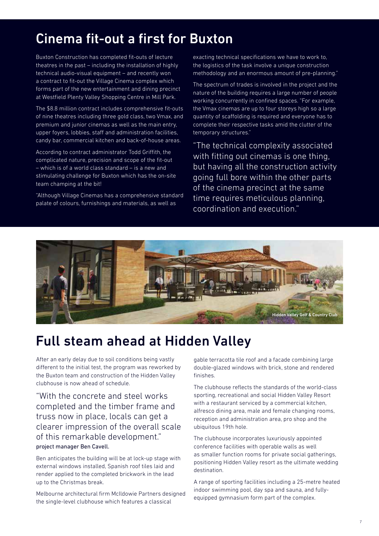### Cinema fit-out a first for Buxton

Buxton Construction has completed fit-outs of lecture theatres in the past – including the installation of highly technical audio-visual equipment – and recently won a contract to fit-out the Village Cinema complex which forms part of the new entertainment and dining precinct at Westfield Plenty Valley Shopping Centre in Mill Park.

The \$8.8 million contract includes comprehensive fit-outs of nine theatres including three gold class, two Vmax, and premium and junior cinemas as well as the main entry, upper foyers, lobbies, staff and administration facilities, candy bar, commercial kitchen and back-of-house areas.

According to contract administrator Todd Griffith, the complicated nature, precision and scope of the fit-out – which is of a world class standard – is a new and stimulating challenge for Buxton which has the on-site team champing at the bit!

"Although Village Cinemas has a comprehensive standard palate of colours, furnishings and materials, as well as

exacting technical specifications we have to work to, the logistics of the task involve a unique construction methodology and an enormous amount of pre-planning."

The spectrum of trades is involved in the project and the nature of the building requires a large number of people working concurrently in confined spaces. "For example, the Vmax cinemas are up to four storeys high so a large quantity of scaffolding is required and everyone has to complete their respective tasks amid the clutter of the temporary structures."

"The technical complexity associated with fitting out cinemas is one thing, but having all the construction activity going full bore within the other parts of the cinema precinct at the same time requires meticulous planning, coordination and execution."



### Full steam ahead at Hidden Valley

After an early delay due to soil conditions being vastly different to the initial test, the program was reworked by the Buxton team and construction of the Hidden Valley clubhouse is now ahead of schedule.

"With the concrete and steel works completed and the timber frame and truss now in place, locals can get a clearer impression of the overall scale of this remarkable development." project manager Ben Cavell.

Ben anticipates the building will be at lock-up stage with external windows installed, Spanish roof tiles laid and render applied to the completed brickwork in the lead up to the Christmas break.

Melbourne architectural firm McIldowie Partners designed the single-level clubhouse which features a classical

gable terracotta tile roof and a facade combining large double-glazed windows with brick, stone and rendered finishes.

The clubhouse reflects the standards of the world-class sporting, recreational and social Hidden Valley Resort with a restaurant serviced by a commercial kitchen, alfresco dining area, male and female changing rooms, reception and administration area, pro shop and the ubiquitous 19th hole.

The clubhouse incorporates luxuriously appointed conference facilities with operable walls as well as smaller function rooms for private social gatherings, positioning Hidden Valley resort as the ultimate wedding destination.

A range of sporting facilities including a 25-metre heated indoor swimming pool, day spa and sauna, and fullyequipped gymnasium form part of the complex.